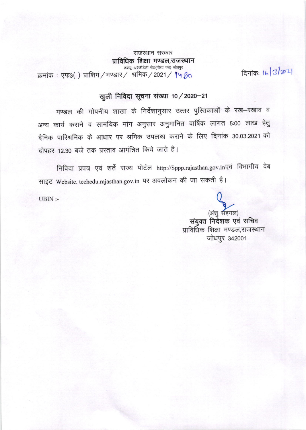राजस्थान सरकार प्राविधिक शिक्षा मण्डल,राजस्थान .<br>डब्ल्यू-6,रेजीडेंसी रोड(गौरव पथ) जोधपुर क्रमांक: एफ3() प्राशिमं / भण्डार / श्रमिक / 2021 / 14  $\beta$ o

दिनांकः 16/3/2021

### खुली निविदा सूचना संख्या 10 / 2020-21

मण्डल की गोपनीय शाखा के निर्देशानुसार उत्तर पुस्तिकाओं के रख-रखाव व अन्य कार्य कराने व सामयिक मांग अनुसार अनुमानित वार्षिक लागत 5:00 लाख हेतु दैनिक पारिश्रमिक के आधार पर श्रमिक उपलब्ध कराने के लिए दिनांक 30.03.2021 को दोपहर 12.30 बजे तक प्रस्ताव आमंत्रित किये जाते है।

निविदा प्रपत्र एवं शर्ते राज्य पोर्टल http://Sppp.rajasthan.gov.inएवं विभागीय वेब साइट Website. techedu.rajasthan.gov.in पर अवलोकन की जा सकती है।

 $UBIN:$ 

(अंशू सहगल) संयुक्त निर्देशक एवं सचिव प्राविधिक शिक्षा मण्डल,राजस्थान जोधपुर 342001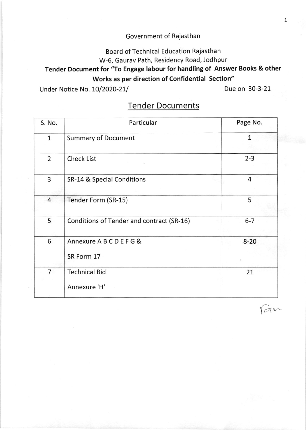### Government of Rajasthan

Board of Technical Education Rajasthan

W-6, Gaurav Path, Residency Road, Jodhpur

### Tender Document tor "To Engage labour for handling of Answer Books & other Works as per direction of Confidential Section"

Under Notice No. 10/2020-21/ **Due on 30-3-21** 

| S. No.         | Particular                                | Page No. |
|----------------|-------------------------------------------|----------|
| $\mathbf{1}$   | <b>Summary of Document</b>                | 1        |
| $\overline{2}$ | <b>Check List</b>                         | $2 - 3$  |
| 3              | SR-14 & Special Conditions                | 4        |
| $\overline{4}$ | 5<br>Tender Form (SR-15)                  |          |
| 5              | Conditions of Tender and contract (SR-16) | $6 - 7$  |
| 6              | Annexure A B C D E F G &<br>SR Form 17    | $8 - 20$ |
| $\overline{7}$ | <b>Technical Bid</b><br>Annexure 'H'      | 21       |

# Tender Documents

 $(\alpha)^{n}$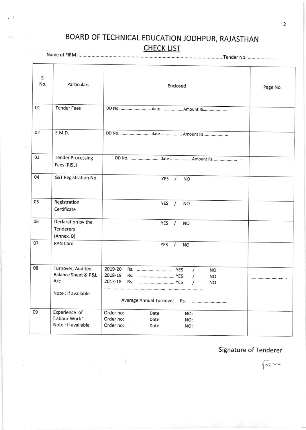## BOARD OF TECHNICAL EDUCATION JODHPUR, RAJASTHAN **CHECK LIST**

Name of FIRM …… …… …… …… …… …… …… …… …… ……… Tender No. …… …… …… ……

| S.<br>No.<br>01 | Particulars<br><b>Tender Fees</b>                                     | Enclosed<br>DD No. date  Amount Rs                                                                                                            | Page No. |
|-----------------|-----------------------------------------------------------------------|-----------------------------------------------------------------------------------------------------------------------------------------------|----------|
|                 |                                                                       |                                                                                                                                               |          |
| 02              | E.M.D.                                                                | DD No. date  Amount Rs                                                                                                                        |          |
| 03              | <b>Tender Processing</b><br>Fees (RISL)                               | DD No. date  Amount Rs                                                                                                                        |          |
| 04              | <b>GST Registration No.</b>                                           | YES<br>$\sqrt{ }$<br><b>NO</b>                                                                                                                |          |
| 05              | Registration<br>Certificate                                           | <b>YES</b><br><b>NO</b><br>$\prime$                                                                                                           |          |
| 06              | Declaration by the<br><b>Tenderers</b><br>(Annex. B)                  | <b>YES</b><br><b>NO</b>                                                                                                                       |          |
| 07              | PAN Card                                                              | <b>YES</b><br><b>NO</b>                                                                                                                       |          |
| 08              | Turnover, Audited<br>Balance Sheet & P&L<br>A/c<br>Note: if available | 2019-20<br>$\sqrt{2}$<br><b>NO</b><br>2018-19<br>Rs.<br><b>NO</b><br>2017-18<br>Rs.<br>YES<br><b>NO</b><br>Average Annual Turnover<br>Rs.<br> |          |
| 09              | Experience of<br>Labour Work"<br>Note: If available                   | Order no:<br>Date<br>NO:<br>Order no:<br>Date<br>NO:<br>Order no:<br>Date<br>NO:                                                              |          |

Signature of Tenderer

 $\sqrt{a}$